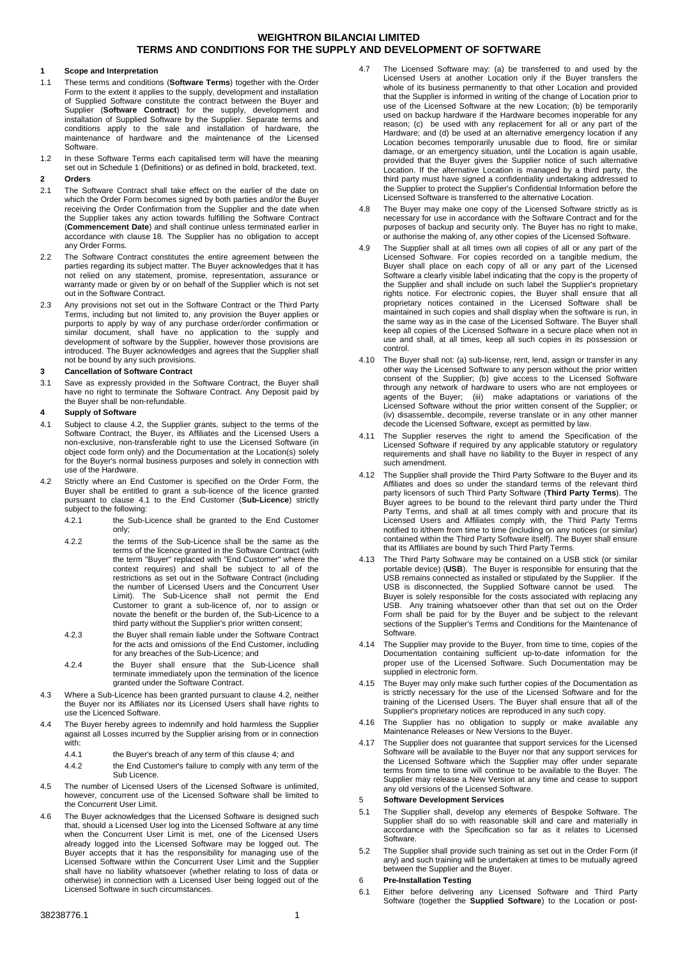### **1 Scope and Interpretation**

- 1.1 These terms and conditions (**Software Terms**) together with the Order Form to the extent it applies to the supply, development and installation of Supplied Software constitute the contract between the Buyer and Supplier (**Software Contract**) for the supply, development and installation of Supplied Software by the Supplier. Separate terms and conditions apply to the sale and installation of hardware, the maintenance of hardware and the maintenance of the Licensed **Software**
- 1.2 In these Software Terms each capitalised term will have the meaning set out in Schedule 1 (Definitions) or as defined in bold, bracketed, text.

### **2 Orders**

- 2.1 The Software Contract shall take effect on the earlier of the date on which the Order Form becomes signed by both parties and/or the Buyer receiving the Order Confirmation from the Supplier and the date when the Supplier takes any action towards fulfilling the Software Contract (**Commencement Date**) and shall continue unless terminated earlier in accordance with clause [18.](#page-3-0) The Supplier has no obligation to accept any Order Forms.
- 2.2 The Software Contract constitutes the entire agreement between the parties regarding its subject matter. The Buyer acknowledges that it has not relied on any statement, promise, representation, assurance or warranty made or given by or on behalf of the Supplier which is not set out in the Software Contract.
- 2.3 Any provisions not set out in the Software Contract or the Third Party Terms, including but not limited to, any provision the Buyer applies or purports to apply by way of any purchase order/order confirmation or similar document, shall have no application to the supply and development of software by the Supplier, however those provisions are introduced. The Buyer acknowledges and agrees that the Supplier shall not be bound by any such provisions.

#### **3 Cancellation of Software Contract**

3.1 Save as expressly provided in the Software Contract, the Buyer shall have no right to terminate the Software Contract. Any Deposit paid by the Buyer shall be non-refundable.

### <span id="page-0-2"></span>**4 Supply of Software**

- <span id="page-0-1"></span>4.1 Subject to clause [4.2,](#page-0-0) the Supplier grants, subject to the terms of the Software Contract, the Buyer, its Affiliates and the Licensed Users a non-exclusive, non-transferable right to use the Licensed Software (in object code form only) and the Documentation at the Location(s) solely for the Buyer's normal business purposes and solely in connection with use of the Hardware.
- <span id="page-0-0"></span>4.2 Strictly where an End Customer is specified on the Order Form, the Buyer shall be entitled to grant a sub-licence of the licence granted pursuant to clause [4.1](#page-0-1) to the End Customer (Sub-Licence) strictly subject to the following:
	- 4.2.1 the Sub-Licence shall be granted to the End Customer only;
	- 4.2.2 the terms of the Sub-Licence shall be the same as the terms of the licence granted in the Software Contract (with the term "Buyer" replaced with "End Customer" where the context requires) and shall be subject to all of the restrictions as set out in the Software Contract (including the number of Licensed Users and the Concurrent User Limit). The Sub-Licence shall not permit the End Customer to grant a sub-licence of, nor to assign or novate the benefit or the burden of, the Sub-Licence to a third party without the Supplier's prior written consent;
	- 4.2.3 the Buyer shall remain liable under the Software Contract for the acts and omissions of the End Customer, including for any breaches of the Sub-Licence; and
	- 4.2.4 the Buyer shall ensure that the Sub-Licence shall terminate immediately upon the termination of the licence granted under the Software Contract.
- 4.3 Where a Sub-Licence has been granted pursuant to claus[e 4.2,](#page-0-0) neither the Buyer nor its Affiliates nor its Licensed Users shall have rights to use the Licenced Software.
- 4.4 The Buyer hereby agrees to indemnify and hold harmless the Supplier against all Losses incurred by the Supplier arising from or in connection with:
	- 4.4.1 the Buyer's breach of any term of this claus[e 4;](#page-0-2) and
	- 4.4.2 the End Customer's failure to comply with any term of the Sub Licence.
- 4.5 The number of Licensed Users of the Licensed Software is unlimited, however, concurrent use of the Licensed Software shall be limited to the Concurrent User Limit.
- 4.6 The Buyer acknowledges that the Licensed Software is designed such that, should a Licensed User log into the Licensed Software at any time when the Concurrent User Limit is met, one of the Licensed Users already logged into the Licensed Software may be logged out. The Buyer accepts that it has the responsibility for managing use of the Licensed Software within the Concurrent User Limit and the Supplier shall have no liability whatsoever (whether relating to loss of data or otherwise) in connection with a Licensed User being logged out of the Licensed Software in such circumstances.
- 
- 4.7 The Licensed Software may: (a) be transferred to and used by the Licensed Users at another Location only if the Buyer transfers the whole of its business permanently to that other Location and provided that the Supplier is informed in writing of the change of Location prior to use of the Licensed Software at the new Location; (b) be temporarily used on backup hardware if the Hardware becomes inoperable for any reason; (c) be used with any replacement for all or any part of the Hardware; and (d) be used at an alternative emergency location if any Location becomes temporarily unusable due to flood, fire or similar damage, or an emergency situation, until the Location is again usable, provided that the Buyer gives the Supplier notice of such alternative Location. If the alternative Location is managed by a third party, the third party must have signed a confidentiality undertaking addressed to the Supplier to protect the Supplier's Confidential Information before the Licensed Software is transferred to the alternative Location.
- 4.8 The Buyer may make one copy of the Licensed Software strictly as is necessary for use in accordance with the Software Contract and for the purposes of backup and security only. The Buyer has no right to make, or authorise the making of, any other copies of the Licensed Software.
- 4.9 The Supplier shall at all times own all copies of all or any part of the Licensed Software. For copies recorded on a tangible medium, the Buyer shall place on each copy of all or any part of the Licensed Software a clearly visible label indicating that the copy is the property of the Supplier and shall include on such label the Supplier's proprietary rights notice. For electronic copies, the Buyer shall ensure that all proprietary notices contained in the Licensed Software shall be maintained in such copies and shall display when the software is run, in the same way as in the case of the Licensed Software. The Buyer shall keep all copies of the Licensed Software in a secure place when not in use and shall, at all times, keep all such copies in its possession or control.
- 4.10 The Buyer shall not: (a) sub-license, rent, lend, assign or transfer in any other way the Licensed Software to any person without the prior written consent of the Supplier; (b) give access to the Licensed Software through any network of hardware to users who are not employees or agents of the Buyer; (iii) make adaptations or variations of the Licensed Software without the prior written consent of the Supplier; or (iv) disassemble, decompile, reverse translate or in any other manner decode the Licensed Software, except as permitted by law.
- 4.11 The Supplier reserves the right to amend the Specification of the Licensed Software if required by any applicable statutory or regulatory requirements and shall have no liability to the Buyer in respect of any such amendment.
- 4.12 The Supplier shall provide the Third Party Software to the Buyer and its Affiliates and does so under the standard terms of the relevant third party licensors of such Third Party Software (**Third Party Terms**). The Buyer agrees to be bound to the relevant third party under the Third Party Terms, and shall at all times comply with and procure that its Licensed Users and Affiliates comply with, the Third Party Terms notified to it/them from time to time (including on any notices (or similar) contained within the Third Party Software itself). The Buyer shall ensure that its Affiliates are bound by such Third Party Terms.
- 4.13 The Third Party Software may be contained on a USB stick (or similar portable device) (**USB**). The Buyer is responsible for ensuring that the USB remains connected as installed or stipulated by the Supplier. If the USB is disconnected, the Supplied Software cannot be used. The Buyer is solely responsible for the costs associated with replacing any USB. Any training whatsoever other than that set out on the Order Form shall be paid for by the Buyer and be subject to the relevant sections of the Supplier's Terms and Conditions for the Maintenance of Software.
- 4.14 The Supplier may provide to the Buyer, from time to time, copies of the Documentation containing sufficient up-to-date information for the proper use of the Licensed Software. Such Documentation may be supplied in electronic form.
- The Buyer may only make such further copies of the Documentation as is strictly necessary for the use of the Licensed Software and for the training of the Licensed Users. The Buyer shall ensure that all of the Supplier's proprietary notices are reproduced in any such copy.
- 4.16 The Supplier has no obligation to supply or make available any Maintenance Releases or New Versions to the Buyer.
- 4.17 The Supplier does not guarantee that support services for the Licensed Software will be available to the Buyer nor that any support services for the Licensed Software which the Supplier may offer under separate terms from time to time will continue to be available to the Buyer. The Supplier may release a New Version at any time and cease to support any old versions of the Licensed Software.

## 5 **Software Development Services**

- 5.1 The Supplier shall, develop any elements of Bespoke Software. The Supplier shall do so with reasonable skill and care and materially in accordance with the Specification so far as it relates to Licensed **Software**
- 5.2 The Supplier shall provide such training as set out in the Order Form (if any) and such training will be undertaken at times to be mutually agreed between the Supplier and the Buyer.

### <span id="page-0-4"></span>6 **Pre-Installation Testing**

<span id="page-0-3"></span>6.1 Either before delivering any Licensed Software and Third Party Software (together the **Supplied Software**) to the Location or post-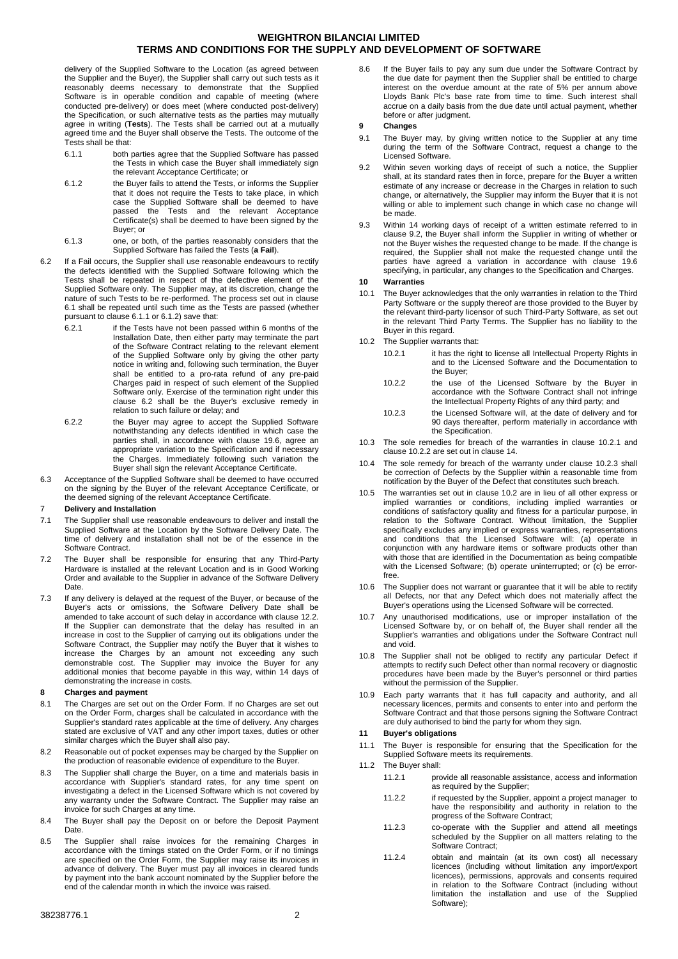delivery of the Supplied Software to the Location (as agreed between the Supplier and the Buyer), the Supplier shall carry out such tests as it reasonably deems necessary to demonstrate that the Supplied Software is in operable condition and capable of meeting (where conducted pre-delivery) or does meet (where conducted post-delivery) the Specification, or such alternative tests as the parties may mutually agree in writing (**Tests**). The Tests shall be carried out at a mutually agreed time and the Buyer shall observe the Tests. The outcome of the Tests shall be that:

- <span id="page-1-0"></span>6.1.1 both parties agree that the Supplied Software has passed the Tests in which case the Buyer shall immediately sign the relevant Acceptance Certificate; or
- <span id="page-1-1"></span>6.1.2 the Buyer fails to attend the Tests, or informs the Supplier that it does not require the Tests to take place, in which case the Supplied Software shall be deemed to have passed the Tests and the relevant Acceptance Example and the determined the determined to have been signed by the Certificate(s) shall be deemed to have been signed by the Buyer; or
- <span id="page-1-2"></span>6.1.3 one, or both, of the parties reasonably considers that the Supplied Software has failed the Tests (**a Fail**).
- 6.2 If a Fail occurs, the Supplier shall use reasonable endeavours to rectify the defects identified with the Supplied Software following which the Tests shall be repeated in respect of the defective element of the Supplied Software only. The Supplier may, at its discretion, change the nature of such Tests to be re-performed. The process set out in clause [6.1](#page-0-3) shall be repeated until such time as the Tests are passed (whether pursuant to clause [6.1.1](#page-1-0) o[r 6.1.2\)](#page-1-1) save that:
	- 6.2.1 if the Tests have not been passed within 6 months of the Installation Date, then either party may terminate the part of the Software Contract relating to the relevant element of the Supplied Software only by giving the other party notice in writing and, following such termination, the Buyer shall be entitled to a pro-rata refund of any pre-paid Charges paid in respect of such element of the Supplied Software only. Exercise of the termination right under this clause [6.2](#page-1-2) shall be the Buyer's exclusive remedy in relation to such failure or delay; and
	- 6.2.2 the Buyer may agree to accept the Supplied Software notwithstanding any defects identified in which case the parties shall, in accordance with clause [19.6,](#page-3-1) agree an appropriate variation to the Specification and if necessary the Charges. Immediately following such variation the Buyer shall sign the relevant Acceptance Certificate.
- 6.3 Acceptance of the Supplied Software shall be deemed to have occurred on the signing by the Buyer of the relevant Acceptance Certificate, or the deemed signing of the relevant Acceptance Certificate.

### 7 **Delivery and Installation**

- 7.1 The Supplier shall use reasonable endeavours to deliver and install the Supplied Software at the Location by the Software Delivery Date. The time of delivery and installation shall not be of the essence in the Software Contract.
- 7.2 The Buyer shall be responsible for ensuring that any Third-Party Hardware is installed at the relevant Location and is in Good Working Order and available to the Supplier in advance of the Software Delivery Date.
- 7.3 If any delivery is delayed at the request of the Buyer, or because of the Buyer's acts or omissions, the Software Delivery Date shall be amended to take account of such delay in accordance with claus[e 12.2.](#page-2-0) If the Supplier can demonstrate that the delay has resulted in an increase in cost to the Supplier of carrying out its obligations under the Software Contract, the Supplier may notify the Buyer that it wishes to increase the Charges by an amount not exceeding any such demonstrable cost. The Supplier may invoice the Buyer for any additional monies that become payable in this way, within 14 days of demonstrating the increase in costs.

## **8 Charges and payment**

- 8.1 The Charges are set out on the Order Form. If no Charges are set out on the Order Form, charges shall be calculated in accordance with the Supplier's standard rates applicable at the time of delivery. Any charges stated are exclusive of VAT and any other import taxes, duties or other similar charges which the Buyer shall also pay.
- 8.2 Reasonable out of pocket expenses may be charged by the Supplier on the production of reasonable evidence of expenditure to the Buyer.
- 8.3 The Supplier shall charge the Buyer, on a time and materials basis in accordance with Supplier's standard rates, for any time spent on investigating a defect in the Licensed Software which is not covered by any warranty under the Software Contract. The Supplier may raise an invoice for such Charges at any time.
- 8.4 The Buyer shall pay the Deposit on or before the Deposit Payment Date.
- 8.5 The Supplier shall raise invoices for the remaining Charges in accordance with the timings stated on the Order Form, or if no timings are specified on the Order Form, the Supplier may raise its invoices in advance of delivery. The Buyer must pay all invoices in cleared funds by payment into the bank account nominated by the Supplier before the end of the calendar month in which the invoice was raised.
- 38238776.1 2
	-

8.6 If the Buyer fails to pay any sum due under the Software Contract by the due date for payment then the Supplier shall be entitled to charge interest on the overdue amount at the rate of 5% per annum above Lloyds Bank Plc's base rate from time to time. Such interest shall accrue on a daily basis from the due date until actual payment, whether before or after judgment.

### **9 Changes**

- 9.1 The Buyer may, by giving written notice to the Supplier at any time during the term of the Software Contract, request a change to the Licensed Software.
- <span id="page-1-3"></span>9.2 Within seven working days of receipt of such a notice, the Supplier shall, at its standard rates then in force, prepare for the Buyer a written estimate of any increase or decrease in the Charges in relation to such change, or alternatively, the Supplier may inform the Buyer that it is not willing or able to implement such change in which case no change will be made.
- 9.3 Within 14 working days of receipt of a written estimate referred to in clause [9.2,](#page-1-3) the Buyer shall inform the Supplier in writing of whether or not the Buyer wishes the requested change to be made. If the change is required, the Supplier shall not make the requested change until the parties have agreed a variation in accordance with clause [19.6](#page-3-1) specifying, in particular, any changes to the Specification and Charges.

### **10 Warranties**

- 10.1 The Buyer acknowledges that the only warranties in relation to the Third Party Software or the supply thereof are those provided to the Buyer by the relevant third-party licensor of such Third-Party Software, as set out in the relevant Third Party Terms. The Supplier has no liability to the Buyer in this regard.
- <span id="page-1-7"></span><span id="page-1-5"></span><span id="page-1-4"></span>10.2 The Supplier warrants that:
	- 10.2.1 it has the right to license all Intellectual Property Rights in and to the Licensed Software and the Documentation to the Buyer;
	- 10.2.2 the use of the Licensed Software by the Buyer in accordance with the Software Contract shall not infringe the Intellectual Property Rights of any third party; and
	- 10.2.3 the Licensed Software will, at the date of delivery and for 90 days thereafter, perform materially in accordance with the Specification.
- <span id="page-1-6"></span>10.3 The sole remedies for breach of the warranties in clause [10.2.1](#page-1-4) and clause [10.2.2](#page-1-5) are set out in clause [14.](#page-2-1)
- 10.4 The sole remedy for breach of the warranty under clause [10.2.3](#page-1-6) shall be correction of Defects by the Supplier within a reasonable time from notification by the Buyer of the Defect that constitutes such breach.
- 10.5 The warranties set out in claus[e 10.2](#page-1-7) are in lieu of all other express or implied warranties or conditions, including implied warranties or conditions of satisfactory quality and fitness for a particular purpose, in relation to the Software Contract. Without limitation, the Supplier specifically excludes any implied or express warranties, representations and conditions that the Licensed Software will: (a) operate in conjunction with any hardware items or software products other than with those that are identified in the Documentation as being compatible with the Licensed Software; (b) operate uninterrupted; or (c) be errorfree.
- 10.6 The Supplier does not warrant or guarantee that it will be able to rectify all Defects, nor that any Defect which does not materially affect the Buyer's operations using the Licensed Software will be corrected.
- <span id="page-1-8"></span>10.7 Any unauthorised modifications, use or improper installation of the Licensed Software by, or on behalf of, the Buyer shall render all the Supplier's warranties and obligations under the Software Contract null and void.
- 10.8 The Supplier shall not be obliged to rectify any particular Defect if attempts to rectify such Defect other than normal recovery or diagnostic procedures have been made by the Buyer's personnel or third parties without the permission of the Supplier.
- 10.9 Each party warrants that it has full capacity and authority, and all necessary licences, permits and consents to enter into and perform the Software Contract and that those persons signing the Software Contract are duly authorised to bind the party for whom they sign.

### <span id="page-1-9"></span>**11 Buyer's obligations**

- 11.1 The Buyer is responsible for ensuring that the Specification for the Supplied Software meets its requirements.
- 11.2 The Buyer shall:
	- 11.2.1 provide all reasonable assistance, access and information as required by the Supplier;
	- 11.2.2 if requested by the Supplier, appoint a project manager to have the responsibility and authority in relation to the progress of the Software Contract;
	- 11.2.3 co-operate with the Supplier and attend all meetings scheduled by the Supplier on all matters relating to the Software Contract;
	- 11.2.4 obtain and maintain (at its own cost) all necessary licences (including without limitation any import/export licences), permissions, approvals and consents required in relation to the Software Contract (including without limitation the installation and use of the Supplied Software);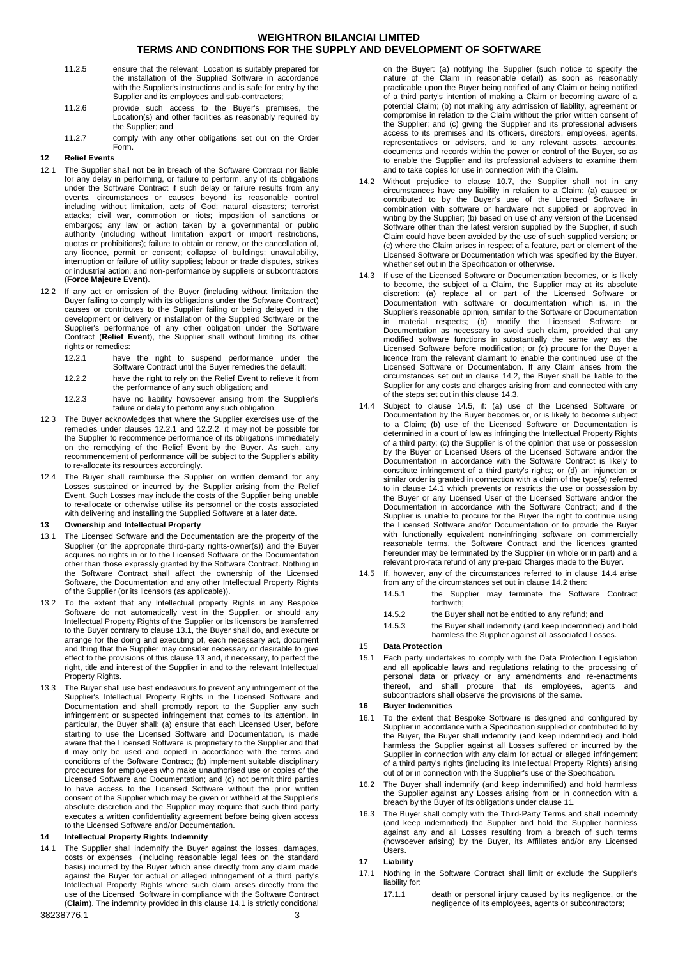- 11.2.5 ensure that the relevant Location is suitably prepared for the installation of the Supplied Software in accordance with the Supplier's instructions and is safe for entry by the Supplier and its employees and sub-contractors;
- 11.2.6 provide such access to the Buyer's premises, the Location(s) and other facilities as reasonably required by the Supplier; and
- 11.2.7 comply with any other obligations set out on the Order Form.

## **12 Relief Events**

- 12.1 The Supplier shall not be in breach of the Software Contract nor liable for any delay in performing, or failure to perform, any of its obligations under the Software Contract if such delay or failure results from any events, circumstances or causes beyond its reasonable control including without limitation, acts of God; natural disasters; terrorist attacks; civil war, commotion or riots; imposition of sanctions or embargos; any law or action taken by a governmental or public authority (including without limitation export or import restrictions, quotas or prohibitions); failure to obtain or renew, or the cancellation of, any licence, permit or consent; collapse of buildings; unavailability, interruption or failure of utility supplies; labour or trade disputes, strikes or industrial action; and non-performance by suppliers or subcontractors (**Force Majeure Event**).
- <span id="page-2-0"></span>12.2 If any act or omission of the Buyer (including without limitation the Buyer failing to comply with its obligations under the Software Contract) causes or contributes to the Supplier failing or being delayed in the development or delivery or installation of the Supplied Software or the Supplier's performance of any other obligation under the Software Contract (**Relief Event**), the Supplier shall without limiting its other rights or remedies:
	- 12.2.1 have the right to suspend performance under the Software Contract until the Buyer remedies the default;
	- 12.2.2 have the right to rely on the Relief Event to relieve it from the performance of any such obligation; and
	- 12.2.3 have no liability howsoever arising from the Supplier's failure or delay to perform any such obligation.
- <span id="page-2-3"></span><span id="page-2-2"></span>12.3 The Buyer acknowledges that where the Supplier exercises use of the remedies under clauses [12.2.1](#page-2-2) and [12.2.2,](#page-2-3) it may not be possible for the Supplier to recommence performance of its obligations immediately on the remedying of the Relief Event by the Buyer. As such, any recommencement of performance will be subject to the Supplier's ability to re-allocate its resources accordingly.
- 12.4 The Buyer shall reimburse the Supplier on written demand for any Losses sustained or incurred by the Supplier arising from the Relief Event. Such Losses may include the costs of the Supplier being unable to re-allocate or otherwise utilise its personnel or the costs associated with delivering and installing the Supplied Software at a later date.

### <span id="page-2-5"></span>**13 Ownership and Intellectual Property**

- <span id="page-2-4"></span>13.1 The Licensed Software and the Documentation are the property of the Supplier (or the appropriate third-party rights-owner(s)) and the Buyer acquires no rights in or to the Licensed Software or the Documentation other than those expressly granted by the Software Contract. Nothing in the Software Contract shall affect the ownership of the Licensed Software, the Documentation and any other Intellectual Property Rights of the Supplier (or its licensors (as applicable)).
- 13.2 To the extent that any Intellectual property Rights in any Bespoke Software do not automatically vest in the Supplier, or should any Intellectual Property Rights of the Supplier or its licensors be transferred to the Buyer contrary to clause [13.1,](#page-2-4) the Buyer shall do, and execute or arrange for the doing and executing of, each necessary act, document and thing that the Supplier may consider necessary or desirable to give effect to the provisions of this clause [13](#page-2-5) and, if necessary, to perfect the right, title and interest of the Supplier in and to the relevant Intellectual Property Rights.
- 13.3 The Buyer shall use best endeavours to prevent any infringement of the Supplier's Intellectual Property Rights in the Licensed Software and Documentation and shall promptly report to the Supplier any such infringement or suspected infringement that comes to its attention. In particular, the Buyer shall: (a) ensure that each Licensed User, before starting to use the Licensed Software and Documentation, is made aware that the Licensed Software is proprietary to the Supplier and that it may only be used and copied in accordance with the terms and conditions of the Software Contract; (b) implement suitable disciplinary procedures for employees who make unauthorised use or copies of the Licensed Software and Documentation; and (c) not permit third parties to have access to the Licensed Software without the prior written consent of the Supplier which may be given or withheld at the Supplier's absolute discretion and the Supplier may require that such third party executes a written confidentiality agreement before being given access to the Licensed Software and/or Documentation.

#### <span id="page-2-1"></span>**14 Intellectual Property Rights Indemnity**

<span id="page-2-6"></span>14.1 The Supplier shall indemnify the Buyer against the losses, damages, costs or expenses (including reasonable legal fees on the standard basis) incurred by the Buyer which arise directly from any claim made against the Buyer for actual or alleged infringement of a third party's Intellectual Property Rights where such claim arises directly from the use of the Licensed Software in compliance with the Software Contract (**Claim**). The indemnity provided in this clause [14.1](#page-2-6) is strictly conditional

on the Buyer: (a) notifying the Supplier (such notice to specify the nature of the Claim in reasonable detail) as soon as reasonably practicable upon the Buyer being notified of any Claim or being notified of a third party's intention of making a Claim or becoming aware of a potential Claim; (b) not making any admission of liability, agreement or compromise in relation to the Claim without the prior written consent of the Supplier; and (c) giving the Supplier and its professional advisers access to its premises and its officers, directors, employees, agents, representatives or advisers, and to any relevant assets, accounts, documents and records within the power or control of the Buyer, so as to enable the Supplier and its professional advisers to examine them and to take copies for use in connection with the Claim.

- <span id="page-2-7"></span>14.2 Without prejudice to clause [10.7,](#page-1-8) the Supplier shall not in any circumstances have any liability in relation to a Claim: (a) caused or contributed to by the Buyer's use of the Licensed Software in combination with software or hardware not supplied or approved in writing by the Supplier; (b) based on use of any version of the Licensed Software other than the latest version supplied by the Supplier, if such Claim could have been avoided by the use of such supplied version; or (c) where the Claim arises in respect of a feature, part or element of the Licensed Software or Documentation which was specified by the Buyer, whether set out in the Specification or otherwise.
- <span id="page-2-8"></span>14.3 If use of the Licensed Software or Documentation becomes, or is likely to become, the subject of a Claim, the Supplier may at its absolute discretion: (a) replace all or part of the Licensed Software or Documentation with software or documentation which is, in the Supplier's reasonable opinion, similar to the Software or Documentation in material respects; (b) modify the Licensed Software or Documentation as necessary to avoid such claim, provided that any modified software functions in substantially the same way as the Licensed Software before modification; or (c) procure for the Buyer a licence from the relevant claimant to enable the continued use of the Licensed Software or Documentation. If any Claim arises from the circumstances set out in clause [14.2,](#page-2-7) the Buyer shall be liable to the Supplier for any costs and charges arising from and connected with any of the steps set out in this claus[e 14.3.](#page-2-8)
- <span id="page-2-10"></span>14.4 Subject to clause [14.5,](#page-2-9) if: (a) use of the Licensed Software or Documentation by the Buyer becomes or, or is likely to become subject to a Claim; (b) use of the Licensed Software or Documentation is determined in a court of law as infringing the Intellectual Property Rights of a third party; (c) the Supplier is of the opinion that use or possession by the Buyer or Licensed Users of the Licensed Software and/or the Documentation in accordance with the Software Contract is likely to constitute infringement of a third party's rights; or (d) an injunction or similar order is granted in connection with a claim of the type(s) referred to in clause [14.1](#page-2-6) which prevents or restricts the use or possession by the Buyer or any Licensed User of the Licensed Software and/or the Documentation in accordance with the Software Contract; and if the Supplier is unable to procure for the Buyer the right to continue using the Licensed Software and/or Documentation or to provide the Buyer with functionally equivalent non-infringing software on commercially reasonable terms, the Software Contract and the licences granted hereunder may be terminated by the Supplier (in whole or in part) and a relevant pro-rata refund of any pre-paid Charges made to the Buyer.
- <span id="page-2-9"></span>14.5 If, however, any of the circumstances referred to in clause [14.4](#page-2-10) arise from any of the circumstances set out in claus[e 14.2](#page-2-7) then:
	- 14.5.1 the Supplier may terminate the Software Contract forthwith;
	- 14.5.2 the Buyer shall not be entitled to any refund; and
	- 14.5.3 the Buyer shall indemnify (and keep indemnified) and hold harmless the Supplier against all associated Losses.

## 15 **Data Protection**

15.1 Each party undertakes to comply with the Data Protection Legislation and all applicable laws and regulations relating to the processing of personal data or privacy or any amendments and re-enactments thereof, and shall procure that its employees, agents and subcontractors shall observe the provisions of the same.

### **16 Buyer Indemnities**

- 16.1 To the extent that Bespoke Software is designed and configured by Supplier in accordance with a Specification supplied or contributed to by the Buyer, the Buyer shall indemnify (and keep indemnified) and hold harmless the Supplier against all Losses suffered or incurred by the Supplier in connection with any claim for actual or alleged infringement of a third party's rights (including its Intellectual Property Rights) arising out of or in connection with the Supplier's use of the Specification.
- 16.2 The Buyer shall indemnify (and keep indemnified) and hold harmless the Supplier against any Losses arising from or in connection with a breach by the Buyer of its obligations under clause [11.](#page-1-9)
- 16.3 The Buyer shall comply with the Third-Party Terms and shall indemnify (and keep indemnified) the Supplier and hold the Supplier harmless against any and all Losses resulting from a breach of such terms (howsoever arising) by the Buyer, its Affiliates and/or any Licensed Users.

#### **17 Liability**

- <span id="page-2-11"></span>17.1 Nothing in the Software Contract shall limit or exclude the Supplier's liability for:
	- 17.1.1 death or personal injury caused by its negligence, or the negligence of its employees, agents or subcontractors;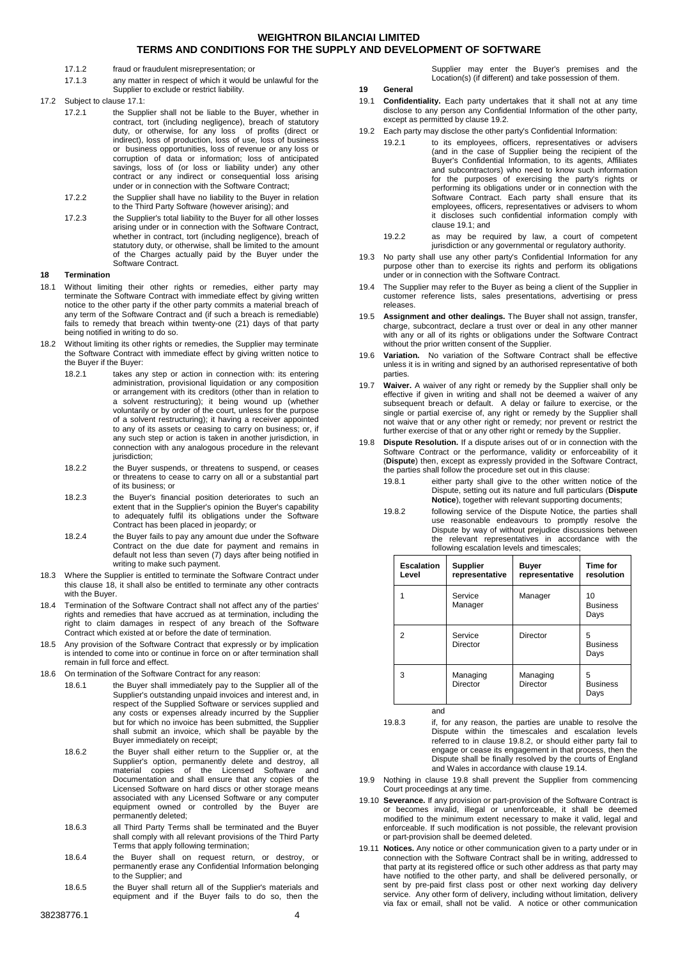- 17.1.2 fraud or fraudulent misrepresentation; or
- 17.1.3 any matter in respect of which it would be unlawful for the Supplier to exclude or restrict liability.

17.2 Subject to clause [17.1:](#page-2-11)

- 17.2.1 the Supplier shall not be liable to the Buyer, whether in contract, tort (including negligence), breach of statutory duty, or otherwise, for any loss of profits (direct or indirect), loss of production, loss of use, loss of business or business opportunities, loss of revenue or any loss or corruption of data or information; loss of anticipated savings, loss of (or loss or liability under) any other contract or any indirect or consequential loss arising under or in connection with the Software Contract;
	- 17.2.2 the Supplier shall have no liability to the Buyer in relation to the Third Party Software (however arising); and
	- 17.2.3 the Supplier's total liability to the Buyer for all other losses arising under or in connection with the Software Contract, whether in contract, tort (including negligence), breach of statutory duty, or otherwise, shall be limited to the amount of the Charges actually paid by the Buyer under the Software Contract.

## <span id="page-3-0"></span>**18 Termination**

- 18.1 Without limiting their other rights or remedies, either party may terminate the Software Contract with immediate effect by giving written notice to the other party if the other party commits a material breach of any term of the Software Contract and (if such a breach is remediable) fails to remedy that breach within twenty-one (21) days of that party being notified in writing to do so.
- 18.2 Without limiting its other rights or remedies, the Supplier may terminate the Software Contract with immediate effect by giving written notice to the Buyer if the Buyer:
	- 18.2.1 takes any step or action in connection with: its entering administration, provisional liquidation or any composition or arrangement with its creditors (other than in relation to a solvent restructuring); it being wound up (whether voluntarily or by order of the court, unless for the purpose of a solvent restructuring); it having a receiver appointed to any of its assets or ceasing to carry on business; or, if any such step or action is taken in another jurisdiction, in connection with any analogous procedure in the relevant jurisdiction;
	- 18.2.2 the Buyer suspends, or threatens to suspend, or ceases or threatens to cease to carry on all or a substantial part of its business; or
	- 18.2.3 the Buyer's financial position deteriorates to such an extent that in the Supplier's opinion the Buyer's capability to adequately fulfil its obligations under the Software Contract has been placed in jeopardy; or
	- 18.2.4 the Buyer fails to pay any amount due under the Software Contract on the due date for payment and remains in default not less than seven (7) days after being notified in writing to make such payment.
- 18.3 Where the Supplier is entitled to terminate the Software Contract under this clause [18,](#page-3-0) it shall also be entitled to terminate any other contracts with the Buyer.
- 18.4 Termination of the Software Contract shall not affect any of the parties' rights and remedies that have accrued as at termination, including the right to claim damages in respect of any breach of the Software Contract which existed at or before the date of termination.
- 18.5 Any provision of the Software Contract that expressly or by implication is intended to come into or continue in force on or after termination shall remain in full force and effect.
- 18.6 On termination of the Software Contract for any reason:
	- 18.6.1 the Buyer shall immediately pay to the Supplier all of the Supplier's outstanding unpaid invoices and interest and, in respect of the Supplied Software or services supplied and any costs or expenses already incurred by the Supplier but for which no invoice has been submitted, the Supplier shall submit an invoice, which shall be payable by the Buyer immediately on receipt;
		- 18.6.2 the Buyer shall either return to the Supplier or, at the Supplier's option, permanently delete and destroy, all material copies of the Licensed Software and Documentation and shall ensure that any copies of the Licensed Software on hard discs or other storage means associated with any Licensed Software or any computer equipment owned or controlled by the Buyer are permanently deleted;
		- 18.6.3 all Third Party Terms shall be terminated and the Buyer shall comply with all relevant provisions of the Third Party Terms that apply following termination;
		- 18.6.4 the Buyer shall on request return, or destroy, or permanently erase any Confidential Information belonging to the Supplier; and
		- 18.6.5 the Buyer shall return all of the Supplier's materials and equipment and if the Buyer fails to do so, then the

Supplier may enter the Buyer's premises and the Location(s) (if different) and take possession of them.

**19 General**

- <span id="page-3-3"></span>19.1 **Confidentiality.** Each party undertakes that it shall not at any time disclose to any person any Confidential Information of the other party, except as permitted by claus[e 19.2.](#page-3-2)
- <span id="page-3-2"></span>19.2 Each party may disclose the other party's Confidential Information:
	- 19.2.1 to its employees, officers, representatives or advisers (and in the case of Supplier being the recipient of the Buyer's Confidential Information, to its agents, Affiliates and subcontractors) who need to know such information for the purposes of exercising the party's rights or performing its obligations under or in connection with the Software Contract. Each party shall ensure that its employees, officers, representatives or advisers to whom it discloses such confidential information comply with claus[e 19.1;](#page-3-3) and
		- 19.2.2 as may be required by law, a court of competent jurisdiction or any governmental or regulatory authority.
- 19.3 No party shall use any other party's Confidential Information for any purpose other than to exercise its rights and perform its obligations under or in connection with the Software Contract.
- 19.4 The Supplier may refer to the Buyer as being a client of the Supplier in customer reference lists, sales presentations, advertising or press releases.
- 19.5 **Assignment and other dealings.** The Buyer shall not assign, transfer, charge, subcontract, declare a trust over or deal in any other manner with any or all of its rights or obligations under the Software Contract without the prior written consent of the Supplier.
- <span id="page-3-1"></span>19.6 **Variation.** No variation of the Software Contract shall be effective unless it is in writing and signed by an authorised representative of both parties.
- 19.7 **Waiver.** A waiver of any right or remedy by the Supplier shall only be effective if given in writing and shall not be deemed a waiver of any subsequent breach or default. A delay or failure to exercise, or the single or partial exercise of, any right or remedy by the Supplier shall not waive that or any other right or remedy; nor prevent or restrict the further exercise of that or any other right or remedy by the Supplier.
- <span id="page-3-5"></span>19.8 **Dispute Resolution.** If a dispute arises out of or in connection with the Software Contract or the performance, validity or enforceability of it (**Dispute**) then, except as expressly provided in the Software Contract, the parties shall follow the procedure set out in this clause:
	- 19.8.1 either party shall give to the other written notice of the Dispute, setting out its nature and full particulars (**Dispute Notice**), together with relevant supporting documents;
	- 19.8.2 following service of the Dispute Notice, the parties shall use reasonable endeavours to promptly resolve the Dispute by way of without prejudice discussions between the relevant representatives in accordance with the following escalation levels and timescales;

<span id="page-3-4"></span>

| Escalation<br>Level | <b>Supplier</b><br>representative | Buyer<br>representative | Time for<br>resolution        |
|---------------------|-----------------------------------|-------------------------|-------------------------------|
| 1                   | Service<br>Manager                | Manager                 | 10<br><b>Business</b><br>Days |
| 2                   | Service<br>Director               | Director                | 5<br><b>Business</b><br>Days  |
| 3                   | Managing<br><b>Director</b>       | Managing<br>Director    | 5<br><b>Business</b><br>Days  |

and

- 19.8.3 if, for any reason, the parties are unable to resolve the Dispute within the timescales and escalation levels referred to in clause [19.8.2,](#page-3-4) or should either party fail to engage or cease its engagement in that process, then the Dispute shall be finally resolved by the courts of England and Wales in accordance with claus[e 19.14.](#page-4-0)
- 19.9 Nothing in clause [19.8](#page-3-5) shall prevent the Supplier from commencing Court proceedings at any time.
- 19.10 **Severance.** If any provision or part-provision of the Software Contract is or becomes invalid, illegal or unenforceable, it shall be deemed modified to the minimum extent necessary to make it valid, legal and enforceable. If such modification is not possible, the relevant provision or part-provision shall be deemed deleted.
- <span id="page-3-6"></span>19.11 **Notices.** Any notice or other communication given to a party under or in connection with the Software Contract shall be in writing, addressed to that party at its registered office or such other address as that party may have notified to the other party, and shall be delivered personally, or sent by pre-paid first class post or other next working day delivery service. Any other form of delivery, including without limitation, delivery via fax or email, shall not be valid. A notice or other communication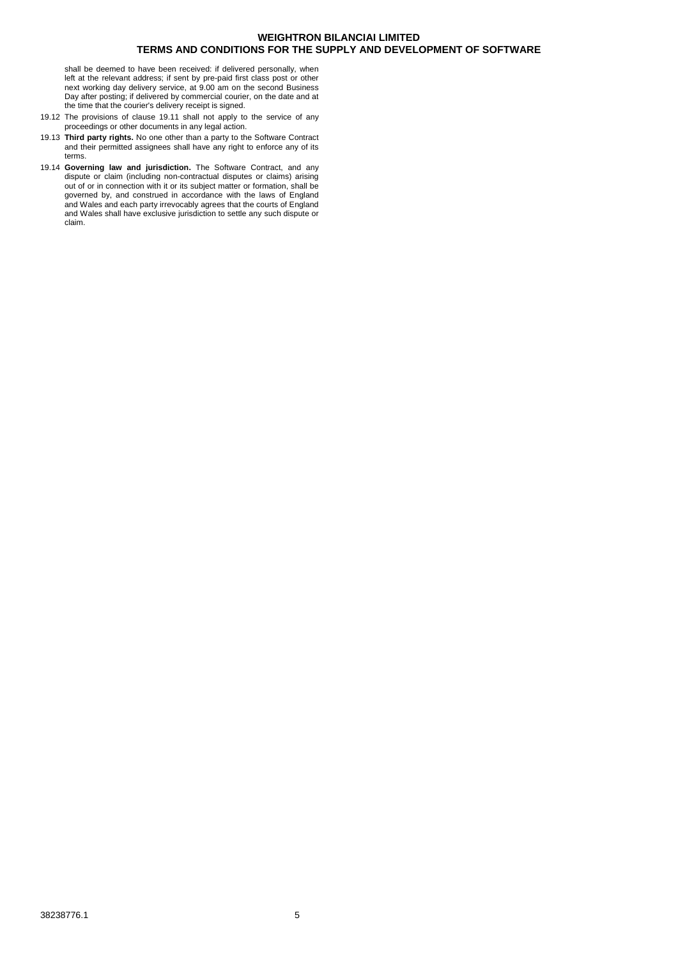shall be deemed to have been received: if delivered personally, when left at the relevant address; if sent by pre-paid first class post or other next working day delivery service, at 9.00 am on the second Business Day after posting; if delivered by commercial courier, on the date and at the time that the courier's delivery receipt is signed.

- 19.12 The provisions of clause [19.11](#page-3-6) shall not apply to the service of any proceedings or other documents in any legal action.
- 19.13 **Third party rights.** No one other than a party to the Software Contract and their permitted assignees shall have any right to enforce any of its terms.
- <span id="page-4-0"></span>19.14 **Governing law and jurisdiction.** The Software Contract, and any dispute or claim (including non-contractual disputes or claims) arising out of or in connection with it or its subject matter or formation, shall be governed by, and construed in accordance with the laws of England and Wales and each party irrevocably agrees that the courts of England and Wales shall have exclusive jurisdiction to settle any such dispute or claim.